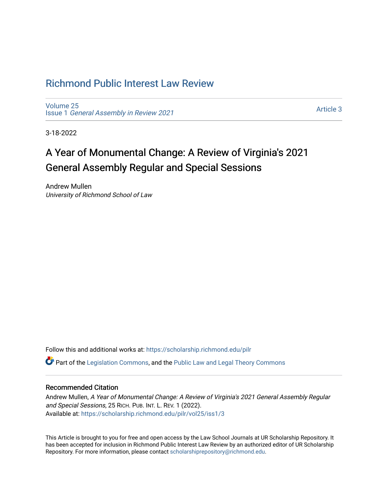# [Richmond Public Interest Law Review](https://scholarship.richmond.edu/pilr)

[Volume 25](https://scholarship.richmond.edu/pilr/vol25) Issue 1 [General Assembly in Review 2021](https://scholarship.richmond.edu/pilr/vol25/iss1)

[Article 3](https://scholarship.richmond.edu/pilr/vol25/iss1/3) 

3-18-2022

# A Year of Monumental Change: A Review of Virginia's 2021 General Assembly Regular and Special Sessions

Andrew Mullen University of Richmond School of Law

Follow this and additional works at: [https://scholarship.richmond.edu/pilr](https://scholarship.richmond.edu/pilr?utm_source=scholarship.richmond.edu%2Fpilr%2Fvol25%2Fiss1%2F3&utm_medium=PDF&utm_campaign=PDFCoverPages) 

**C** Part of the [Legislation Commons](http://network.bepress.com/hgg/discipline/859?utm_source=scholarship.richmond.edu%2Fpilr%2Fvol25%2Fiss1%2F3&utm_medium=PDF&utm_campaign=PDFCoverPages), and the [Public Law and Legal Theory Commons](http://network.bepress.com/hgg/discipline/871?utm_source=scholarship.richmond.edu%2Fpilr%2Fvol25%2Fiss1%2F3&utm_medium=PDF&utm_campaign=PDFCoverPages)

## Recommended Citation

Andrew Mullen, A Year of Monumental Change: A Review of Virginia's 2021 General Assembly Regular and Special Sessions, 25 RICH. PUB. INT. L. REV. 1 (2022). Available at: [https://scholarship.richmond.edu/pilr/vol25/iss1/3](https://scholarship.richmond.edu/pilr/vol25/iss1/3?utm_source=scholarship.richmond.edu%2Fpilr%2Fvol25%2Fiss1%2F3&utm_medium=PDF&utm_campaign=PDFCoverPages)

This Article is brought to you for free and open access by the Law School Journals at UR Scholarship Repository. It has been accepted for inclusion in Richmond Public Interest Law Review by an authorized editor of UR Scholarship Repository. For more information, please contact [scholarshiprepository@richmond.edu](mailto:scholarshiprepository@richmond.edu).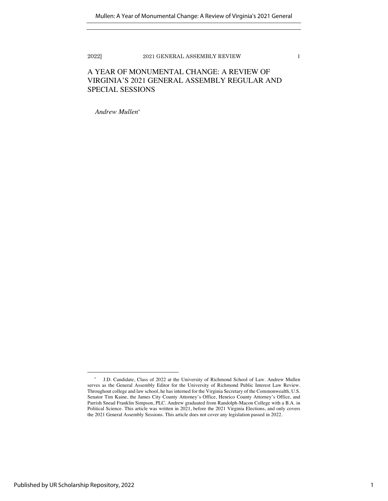### A YEAR OF MONUMENTAL CHANGE: A REVIEW OF VIRGINIA'S 2021 GENERAL ASSEMBLY REGULAR AND SPECIAL SESSIONS

*Andrew Mullen*\*

<sup>\*</sup> J.D. Candidate, Class of 2022 at the University of Richmond School of Law. Andrew Mullen serves as the General Assembly Editor for the University of Richmond Public Interest Law Review. Throughout college and law school, he has interned for the Virginia Secretary of the Commonwealth, U.S. Senator Tim Kaine, the James City County Attorney's Office, Henrico County Attorney's Office, and Parrish Snead Franklin Simpson, PLC. Andrew graduated from Randolph-Macon College with a B.A. in Political Science. This article was written in 2021, before the 2021 Virginia Elections, and only covers the 2021 General Assembly Sessions. This article does not cover any legislation passed in 2022.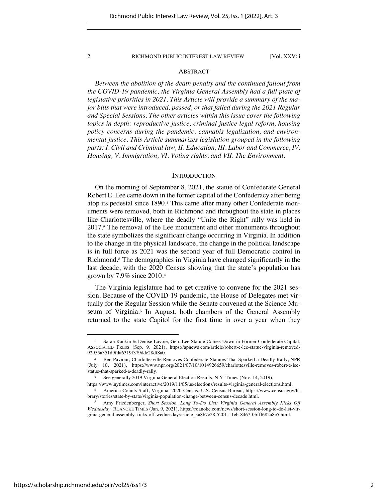#### ABSTRACT

*Between the abolition of the death penalty and the continued fallout from the COVID-19 pandemic, the Virginia General Assembly had a full plate of legislative priorities in 2021. This Article will provide a summary of the major bills that were introduced, passed, or that failed during the 2021 Regular and Special Sessions. The other articles within this issue cover the following topics in depth: reproductive justice, criminal justice legal reform, housing policy concerns during the pandemic, cannabis legalization, and environmental justice. This Article summarizes legislation grouped in the following parts: I. Civil and Criminal law, II. Education, III. Labor and Commerce, IV. Housing, V. Immigration, VI. Voting rights, and VII. The Environment.*

#### **INTRODUCTION**

On the morning of September 8, 2021, the statue of Confederate General Robert E. Lee came down in the former capital of the Confederacy after being atop its pedestal since 1890.<sup>1</sup> This came after many other Confederate monuments were removed, both in Richmond and throughout the state in places like Charlottesville, where the deadly "Unite the Right" rally was held in 2017.<sup>2</sup> The removal of the Lee monument and other monuments throughout the state symbolizes the significant change occurring in Virginia. In addition to the change in the physical landscape, the change in the political landscape is in full force as 2021 was the second year of full Democratic control in Richmond.<sup>3</sup> The demographics in Virginia have changed significantly in the last decade, with the 2020 Census showing that the state's population has grown by 7.9% since 2010.<sup>4</sup>

The Virginia legislature had to get creative to convene for the 2021 session. Because of the COVID-19 pandemic, the House of Delegates met virtually for the Regular Session while the Senate convened at the Science Museum of Virginia.<sup>5</sup> In August, both chambers of the General Assembly returned to the state Capitol for the first time in over a year when they

<sup>1</sup> Sarah Rankin & Denise Lavoie, Gen. Lee Statute Comes Down in Former Confederate Capital, ASSOCIATED PRESS (Sep. 9, 2021), https://apnews.com/article/robert-e-lee-statue-virginia-removed-92955a351d9fda6319f379ddc28df8a0.

<sup>2</sup> Ben Paviour, Charlottesville Removes Confederate Statutes That Sparked a Deadly Rally, NPR (July 10, 2021), https://www.npr.org/2021/07/10/1014926659/charlottesville-removes-robert-e-leestatue-that-sparked-a-deadly-rally.

See generally 2019 Virginia General Election Results, N.Y. Times (Nov. 14, 2019), https://www.nytimes.com/interactive/2019/11/05/us/elections/results-virginia-general-elections.html.

<sup>4</sup> America Counts Staff, Virginia: 2020 Census, U.S. Census Bureau, https://www.census.gov/library/stories/state-by-state/virginia-population-change-between-census-decade.html.

<sup>5</sup> Amy Friedenberger, *Short Session, Long To-Do List: Virginia General Assembly Kicks Off Wednesday,* ROANOKE TIMES (Jan. 9, 2021), https://roanoke.com/news/short-session-long-to-do-list-virginia-general-assembly-kicks-off-wednesday/article\_3a8b7c28-5201-11eb-8467-0bfff682a8e5.html.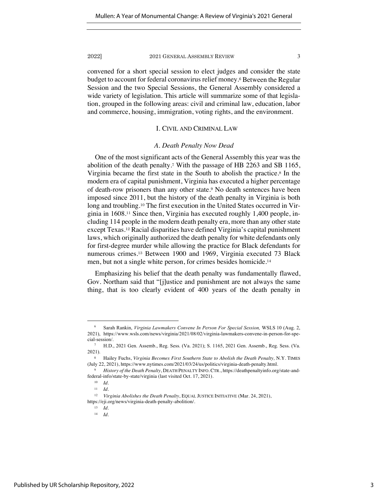convened for a short special session to elect judges and consider the state budget to account for federal coronavirus relief money.<sup>6</sup> Between the Regular Session and the two Special Sessions, the General Assembly considered a wide variety of legislation. This article will summarize some of that legislation, grouped in the following areas: civil and criminal law, education, labor and commerce, housing, immigration, voting rights, and the environment.

### I. CIVIL AND CRIMINAL LAW

#### *A. Death Penalty Now Dead*

One of the most significant acts of the General Assembly this year was the abolition of the death penalty.<sup>7</sup> With the passage of HB 2263 and SB 1165, Virginia became the first state in the South to abolish the practice.<sup>8</sup> In the modern era of capital punishment, Virginia has executed a higher percentage of death-row prisoners than any other state.<sup>9</sup> No death sentences have been imposed since 2011, but the history of the death penalty in Virginia is both long and troubling.<sup>10</sup> The first execution in the United States occurred in Virginia in 1608.<sup>11</sup> Since then, Virginia has executed roughly 1,400 people, including 114 people in the modern death penalty era, more than any other state except Texas.<sup>12</sup> Racial disparities have defined Virginia's capital punishment laws, which originally authorized the death penalty for white defendants only for first-degree murder while allowing the practice for Black defendants for numerous crimes.<sup>13</sup> Between 1900 and 1969, Virginia executed 73 Black men, but not a single white person, for crimes besides homicide.<sup>14</sup>

Emphasizing his belief that the death penalty was fundamentally flawed, Gov. Northam said that "[j]ustice and punishment are not always the same thing, that is too clearly evident of 400 years of the death penalty in

<sup>6</sup> Sarah Rankin, *Virginia Lawmakers Convene In Person For Special Session,* WSLS 10 (Aug. 2, 2021), https://www.wsls.com/news/virginia/2021/08/02/virginia-lawmakers-convene-in-person-for-special-session/.

<sup>7</sup> H.D., 2021 Gen. Assemb., Reg. Sess. (Va. 2021); S. 1165, 2021 Gen. Assemb., Reg. Sess. (Va. 2021).

<sup>8</sup> Hailey Fuchs, *Virginia Becomes First Southern State to Abolish the Death Penalty,* N.Y. TIMES (July 22, 2021), https://www.nytimes.com/2021/03/24/us/politics/virginia-death-penalty.html.

<sup>9</sup> *History of the Death Penalty*, DEATH PENALTY INFO. CTR., https://deathpenaltyinfo.org/state-andfederal-info/state-by-state/virginia (last visited Oct. 17, 2021).

<sup>10</sup> *Id.* 

<sup>11</sup> *Id.* 

<sup>12</sup> *Virginia Abolishes the Death Penalty*, EQUAL JUSTICE INITIATIVE (Mar. 24, 2021), https://eji.org/news/virginia-death-penalty-abolition/.

<sup>13</sup> *Id.* 

<sup>14</sup> *Id.*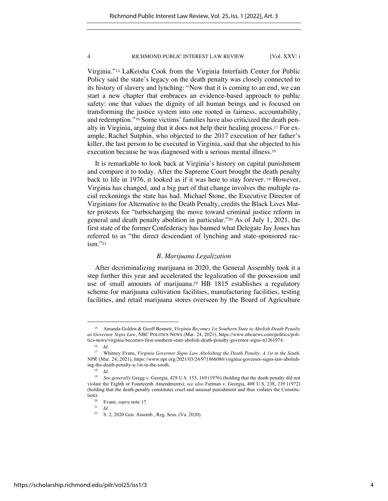Virginia."<sup>15</sup> LaKeisha Cook from the Virginia Interfaith Center for Public Policy said the state's legacy on the death penalty was closely connected to its history of slavery and lynching: "Now that it is coming to an end, we can start a new chapter that embraces an evidence-based approach to public safety: one that values the dignity of all human beings and is focused on transforming the justice system into one rooted in fairness, accountability, and redemption."<sup>16</sup> Some victims' families have also criticized the death penalty in Virginia, arguing that it does not help their healing process.<sup>17</sup> For example, Rachel Sutphin, who objected to the 2017 execution of her father's killer, the last person to be executed in Virginia, said that she objected to his execution because he was diagnosed with a serious mental illness.<sup>18</sup>

It is remarkable to look back at Virginia's history on capital punishment and compare it to today. After the Supreme Court brought the death penalty back to life in 1976, it looked as if it was here to stay forever. <sup>19</sup> However, Virginia has changed, and a big part of that change involves the multiple racial reckonings the state has had. Michael Stone, the Executive Director of Virginians for Alternative to the Death Penalty, credits the Black Lives Matter protests for "turbocharging the move toward criminal justice reform in general and death penalty abolition in particular."<sup>20</sup> As of July 1, 2021, the first state of the former Confederacy has banned what Delegate Jay Jones has referred to as "the direct descendant of lynching and state-sponsored racism."<sup>21</sup>

#### *B. Marijuana Legalization*

After decriminalizing marijuana in 2020, the General Assembly took it a step further this year and accelerated the legalization of the possession and use of small amounts of marijuana.<sup>22</sup> HB 1815 establishes a regulatory scheme for marijuana cultivation facilities, manufacturing facilities, testing facilities, and retail marijuana stores overseen by the Board of Agriculture

<sup>21</sup> *Id.* 

<sup>15</sup> Amanda Golden & Geoff Bennett, *Virginia Becomes 1st Southern State to Abolish Death Penalty as Governor Signs Law*, NBC POLITICS NEWS (Mar. 24, 2021), https://www.nbcnews.com/politics/politics-news/virginia-becomes-first-southern-state-abolish-death-penalty-governor-signs-n1261974.

 $\frac{16}{17}$  *Id.* 

<sup>17</sup> Whitney Evans, *Virginia Governor Signs Law Abolishing the Death Penalty, A 1st in the South,*  NPR (Mar. 24, 2021), https://www.npr.org/2021/03/24/971866086/virginia-governor-signs-law-abolishing-the-death-penalty-a-1st-in-the-south.

<sup>18</sup> *Id.* 

<sup>19</sup> *See generally* Gregg v. Georgia, 428 U.S. 153, 169 (1976) (holding that the death penalty did not violate the Eighth or Fourteenth Amendments); *see also* Furman v. Georgia, 408 U.S. 238, 239 (1972) (holding that the death penalty constitutes cruel and unusual punishment and thus violates the Constitution).

<sup>&</sup>lt;sup>20</sup> Evans, *supra* note 17.

<sup>&</sup>lt;sup>22</sup> S. 2, 2020 Gen. Assemb., Reg. Sess. (Va. 2020).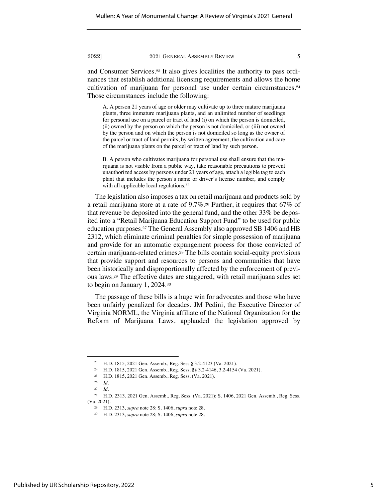and Consumer Services.<sup>23</sup> It also gives localities the authority to pass ordinances that establish additional licensing requirements and allows the home cultivation of marijuana for personal use under certain circumstances.<sup>24</sup> Those circumstances include the following:

A. A person 21 years of age or older may cultivate up to three mature marijuana plants, three immature marijuana plants, and an unlimited number of seedlings for personal use on a parcel or tract of land (i) on which the person is domiciled, (ii) owned by the person on which the person is not domiciled, or (iii) not owned by the person and on which the person is not domiciled so long as the owner of the parcel or tract of land permits, by written agreement, the cultivation and care of the marijuana plants on the parcel or tract of land by such person.

B. A person who cultivates marijuana for personal use shall ensure that the marijuana is not visible from a public way, take reasonable precautions to prevent unauthorized access by persons under 21 years of age, attach a legible tag to each plant that includes the person's name or driver's license number, and comply with all applicable local regulations.<sup>25</sup>

The legislation also imposes a tax on retail marijuana and products sold by a retail marijuana store at a rate of 9.7%.<sup>26</sup> Further, it requires that 67% of that revenue be deposited into the general fund, and the other 33% be deposited into a "Retail Marijuana Education Support Fund" to be used for public education purposes.<sup>27</sup> The General Assembly also approved SB 1406 and HB 2312, which eliminate criminal penalties for simple possession of marijuana and provide for an automatic expungement process for those convicted of certain marijuana-related crimes.<sup>28</sup> The bills contain social-equity provisions that provide support and resources to persons and communities that have been historically and disproportionally affected by the enforcement of previous laws.<sup>29</sup> The effective dates are staggered, with retail marijuana sales set to begin on January 1, 2024.<sup>30</sup>

The passage of these bills is a huge win for advocates and those who have been unfairly penalized for decades. JM Pedini, the Executive Director of Virginia NORML, the Virginia affiliate of the National Organization for the Reform of Marijuana Laws, applauded the legislation approved by

<sup>23</sup> H.D. 1815, 2021 Gen. Assemb., Reg. Sess.§ 3.2-4123 (Va. 2021).

<sup>24</sup> H.D. 1815, 2021 Gen. Assemb., Reg. Sess. §§ 3.2-4146, 3.2-4154 (Va. 2021).

<sup>25</sup> H.D. 1815, 2021 Gen. Assemb., Reg. Sess. (Va. 2021).

<sup>26</sup> *Id.*

<sup>27</sup> *Id.* 

<sup>28</sup> H.D. 2313, 2021 Gen. Assemb., Reg. Sess. (Va. 2021); S. 1406, 2021 Gen. Assemb., Reg. Sess. (Va. 2021).

<sup>29</sup> H.D. 2313, *supra* note 28; S. 1406, *supra* note 28.

<sup>30</sup> H.D. 2313, *supra* note 28; S. 1406, *supra* note 28.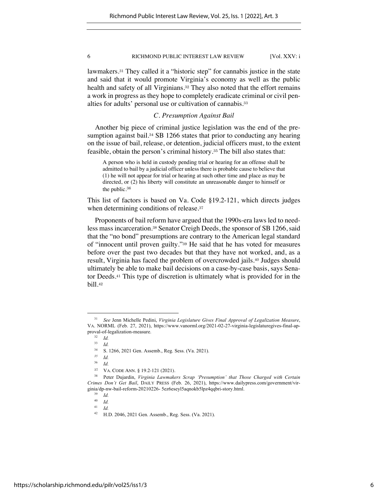lawmakers.<sup>31</sup> They called it a "historic step" for cannabis justice in the state and said that it would promote Virginia's economy as well as the public health and safety of all Virginians.<sup>32</sup> They also noted that the effort remains a work in progress as they hope to completely eradicate criminal or civil penalties for adults' personal use or cultivation of cannabis.<sup>33</sup>

### *C. Presumption Against Bail*

Another big piece of criminal justice legislation was the end of the presumption against bail.<sup>34</sup> SB 1266 states that prior to conducting any hearing on the issue of bail, release, or detention, judicial officers must, to the extent feasible, obtain the person's criminal history.<sup>35</sup> The bill also states that:

A person who is held in custody pending trial or hearing for an offense shall be admitted to bail by a judicial officer unless there is probable cause to believe that (1) he will not appear for trial or hearing at such other time and place as may be directed, or (2) his liberty will constitute an unreasonable danger to himself or the public.<sup>36</sup>

This list of factors is based on Va. Code §19.2-121, which directs judges when determining conditions of release.<sup>37</sup>

Proponents of bail reform have argued that the 1990s-era laws led to needless mass incarceration.<sup>38</sup> Senator Creigh Deeds, the sponsor of SB 1266, said that the "no bond" presumptions are contrary to the American legal standard of "innocent until proven guilty."<sup>39</sup> He said that he has voted for measures before over the past two decades but that they have not worked, and, as a result, Virginia has faced the problem of overcrowded jails.<sup>40</sup> Judges should ultimately be able to make bail decisions on a case-by-case basis, says Senator Deeds.<sup>41</sup> This type of discretion is ultimately what is provided for in the bill.<sup>42</sup>

 $\frac{32}{33}$  *Id.* 

<sup>33</sup> *Id.* 

<sup>31</sup> *See* Jenn Michelle Pedini, *Virginia Legislature Gives Final Approval of Legalization Measure*, VA. NORML (Feb. 27, 2021), https://www.vanorml.org/2021-02-27-virginia-legislaturegives-final-approval-of-legalization-measure.

 $\frac{34}{35}$  S. 1266, 2021 Gen. Assemb., Reg. Sess. (Va. 2021).

*<sup>35</sup> Id.*

<sup>36</sup> *Id.* 

<sup>37</sup> VA. CODE ANN. § 19.2-121 (2021).

<sup>38</sup> Peter Dujardin, *Virginia Lawmakers Scrap 'Presumption' that Those Charged with Certain Crimes Don't Get Bail*, DAILY PRESS (Feb. 26, 2021), https://www.dailypress.com/government/virginia/dp-nw-bail-reform-20210226- 5ez6eseyl5aqnokb5lpz4qqbri-story.html.

 $\frac{39}{40}$  *Id.* 

 $\frac{40}{41}$  *Id.* 

*Id.* 

<sup>42</sup> H.D. 2046, 2021 Gen. Assemb., Reg. Sess. (Va. 2021).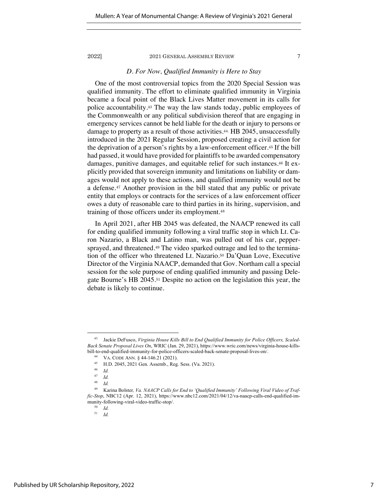#### *D. For Now, Qualified Immunity is Here to Stay*

One of the most controversial topics from the 2020 Special Session was qualified immunity. The effort to eliminate qualified immunity in Virginia became a focal point of the Black Lives Matter movement in its calls for police accountability.<sup>43</sup> The way the law stands today, public employees of the Commonwealth or any political subdivision thereof that are engaging in emergency services cannot be held liable for the death or injury to persons or damage to property as a result of those activities.44. HB 2045, unsuccessfully introduced in the 2021 Regular Session, proposed creating a civil action for the deprivation of a person's rights by a law-enforcement officer.<sup>45</sup> If the bill had passed, it would have provided for plaintiffs to be awarded compensatory damages, punitive damages, and equitable relief for such instances.<sup>46</sup> It explicitly provided that sovereign immunity and limitations on liability or damages would not apply to these actions, and qualified immunity would not be a defense.<sup>47</sup> Another provision in the bill stated that any public or private entity that employs or contracts for the services of a law enforcement officer owes a duty of reasonable care to third parties in its hiring, supervision, and training of those officers under its employment.<sup>48</sup>

In April 2021, after HB 2045 was defeated, the NAACP renewed its call for ending qualified immunity following a viral traffic stop in which Lt. Caron Nazario, a Black and Latino man, was pulled out of his car, peppersprayed, and threatened.<sup>49</sup> The video sparked outrage and led to the termination of the officer who threatened Lt. Nazario.<sup>50</sup> Da'Quan Love, Executive Director of the Virginia NAACP, demanded that Gov. Northam call a special session for the sole purpose of ending qualified immunity and passing Delegate Bourne's HB 2045.<sup>51</sup> Despite no action on the legislation this year, the debate is likely to continue.

<sup>43</sup> Jackie DeFusco, *Virginia House Kills Bill to End Qualified Immunity for Police Officers, Scaled-Back Senate Proposal Lives On*, WRIC (Jan. 29, 2021), https://www.wric.com/news/virginia-house-killsbill-to-end-qualified-immunity-for-police-officers-scaled-back-senate-proposal-lives-on/.

<sup>&</sup>lt;sup>44</sup> VA. CODE ANN.  $\S$  44-146.21 (2021).

<sup>&</sup>lt;sup>45</sup> H.D. 2045, 2021 Gen. Assemb., Reg. Sess. (Va. 2021).

 $\frac{46}{47}$  *Id.* 

 $\frac{47}{48}$  *Id.* 

*Id.* 

<sup>49</sup> Karina Bolster*, Va. NAACP Calls for End to 'Qualified Immunity' Following Viral Video of Traffic-Stop*, NBC12 (Apr. 12, 2021), https://www.nbc12.com/2021/04/12/va-naacp-calls-end-qualified-immunity-following-viral-video-traffic-stop/.

 $\begin{array}{cc} 50 & Id. \\ 51 & Id. \end{array}$ 

<sup>51</sup> *Id.*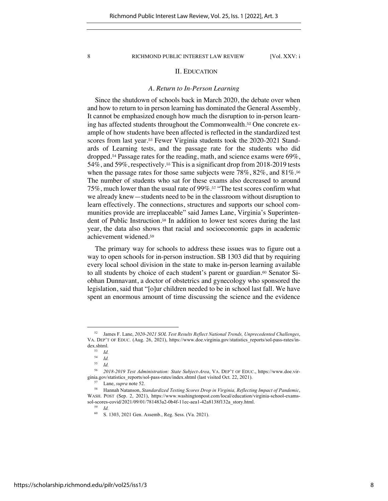### II. EDUCATION

#### *A. Return to In-Person Learning*

Since the shutdown of schools back in March 2020, the debate over when and how to return to in person learning has dominated the General Assembly. It cannot be emphasized enough how much the disruption to in-person learning has affected students throughout the Commonwealth.<sup>52</sup> One concrete example of how students have been affected is reflected in the standardized test scores from last year.<sup>53</sup> Fewer Virginia students took the 2020-2021 Standards of Learning tests, and the passage rate for the students who did dropped.<sup>54</sup> Passage rates for the reading, math, and science exams were 69%, 54%, and 59%, respectively.<sup>55</sup> This is a significant drop from 2018-2019 tests when the passage rates for those same subjects were  $78\%$ ,  $82\%$ , and  $81\%$ .<sup>56</sup> The number of students who sat for these exams also decreased to around 75%, much lower than the usual rate of 99%.<sup>57</sup> "The test scores confirm what we already knew—students need to be in the classroom without disruption to learn effectively. The connections, structures and supports our school communities provide are irreplaceable" said James Lane, Virginia's Superintendent of Public Instruction.<sup>58</sup> In addition to lower test scores during the last year, the data also shows that racial and socioeconomic gaps in academic achievement widened.<sup>59</sup>

The primary way for schools to address these issues was to figure out a way to open schools for in-person instruction. SB 1303 did that by requiring every local school division in the state to make in-person learning available to all students by choice of each student's parent or guardian.<sup>60</sup> Senator Siobhan Dunnavant, a doctor of obstetrics and gynecology who sponsored the legislation, said that "[o]ur children needed to be in school last fall. We have spent an enormous amount of time discussing the science and the evidence

<sup>52</sup> James F. Lane, *2020-2021 SOL Test Results Reflect National Trends, Unprecedented Challenges*, VA. DEP'T OF EDUC. (Aug. 26, 2021), https://www.doe.virginia.gov/statistics\_reports/sol-pass-rates/index.shtml.<br> $53Ld$ 

 $\begin{array}{cc} 53 & Id. \\ 54 & Id. \end{array}$ 

 $\begin{array}{cc} 54 & Id. \\ 55 & Id. \end{array}$ 

<sup>55</sup> *Id.*

<sup>56</sup> *2018-2019 Test Administration: State Subject-Area*, VA. DEP'T OF EDUC., https://www.doe.virginia.gov/statistics\_reports/sol-pass-rates/index.shtml (last visited Oct. 22, 2021).

<sup>&</sup>lt;sup>57</sup> Lane, *supra* note 52.<br><sup>58</sup> Hannah Natanson, *Standardized Testing Scores Drop in Virginia, Reflecting Impact of Pandemic*, WASH. POST (Sep. 2, 2021), https://www.washingtonpost.com/local/education/virginia-school-examssol-scores-covid/2021/09/01/781483a2-0b4f-11ec-aea1-42a8138f132a\_story.html.

<sup>59</sup> *Id.* 

<sup>60</sup> S. 1303, 2021 Gen. Assemb., Reg. Sess. (Va. 2021).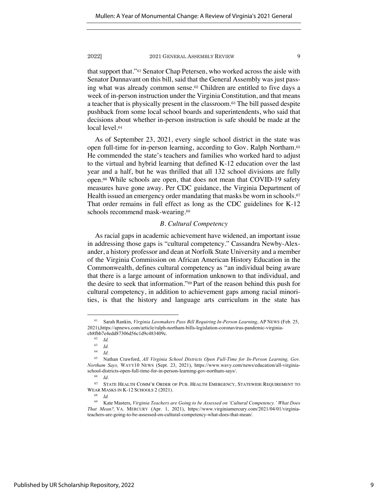that support that."<sup>61</sup> Senator Chap Petersen, who worked across the aisle with Senator Dunnavant on this bill, said that the General Assembly was just passing what was already common sense.<sup>62</sup> Children are entitled to five days a week of in-person instruction under the Virginia Constitution, and that means a teacher that is physically present in the classroom.<sup>63</sup> The bill passed despite pushback from some local school boards and superintendents, who said that decisions about whether in-person instruction is safe should be made at the local level.<sup>64</sup>

As of September 23, 2021, every single school district in the state was open full-time for in-person learning, according to Gov. Ralph Northam.<sup>65</sup> He commended the state's teachers and families who worked hard to adjust to the virtual and hybrid learning that defined K-12 education over the last year and a half, but he was thrilled that all 132 school divisions are fully open.<sup>66</sup> While schools are open, that does not mean that COVID-19 safety measures have gone away. Per CDC guidance, the Virginia Department of Health issued an emergency order mandating that masks be worn in schools.<sup>67</sup> That order remains in full effect as long as the CDC guidelines for K-12 schools recommend mask-wearing.<sup>68</sup>

#### *B. Cultural Competency*

As racial gaps in academic achievement have widened, an important issue in addressing those gaps is "cultural competency." Cassandra Newby-Alexander, a history professor and dean at Norfolk State University and a member of the Virginia Commission on African American History Education in the Commonwealth, defines cultural competency as "an individual being aware that there is a large amount of information unknown to that individual, and the desire to seek that information."<sup>69</sup> Part of the reason behind this push for cultural competency, in addition to achievement gaps among racial minorities, is that the history and language arts curriculum in the state has

<sup>61</sup> Sarah Rankin, *Virginia Lawmakers Pass Bill Requiring In-Person Learning*, AP NEWS (Feb. 25, 2021),https://apnews.com/article/ralph-northam-bills-legislation-coronavirus-pandemic-virginiacb8fbb7e4edd87306d56c1d9c483409c.

 $\begin{array}{cc} 62 & Id. \\ 63 & Id. \end{array}$ 

 $\begin{array}{cc} 63 & Id. \\ 64 & I. \end{array}$ 

 $\frac{64}{65}$  *Id.* 

<sup>65</sup> Nathan Crawford, *All Virginia School Districts Open Full-Time for In-Person Learning, Gov. Northam Says,* WAVY10 NEWS (Sept. 23, 2021), https://www.wavy.com/news/education/all-virginiaschool-districts-open-full-time-for-in-person-learning-gov-northam-says/.

<sup>66</sup> *Id.* 

<sup>67</sup> STATE HEALTH COMM'R ORDER OF PUB. HEALTH EMERGENCY, STATEWIDE REQUIREMENT TO WEAR MASKS IN K-12 SCHOOLS 2 (2021).

<sup>68</sup> *Id.*

<sup>69</sup> Kate Masters, *Virginia Teachers are Going to be Assessed on 'Cultural Competency.' What Does That Mean?,* VA. MERCURY (Apr. 1, 2021), https://www.virginiamercury.com/2021/04/01/virginiateachers-are-going-to-be-assessed-on-cultural-competency-what-does-that-mean/.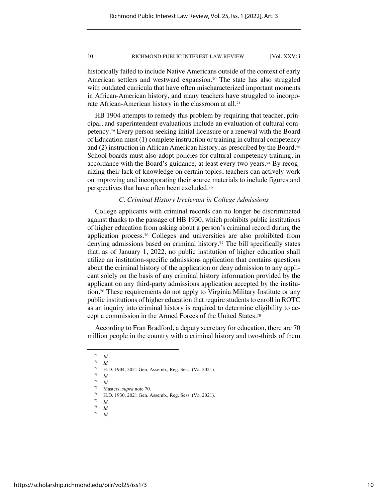historically failed to include Native Americans outside of the context of early American settlers and westward expansion.<sup>70</sup> The state has also struggled with outdated curricula that have often mischaracterized important moments in African-American history, and many teachers have struggled to incorporate African-American history in the classroom at all.<sup>71</sup>

HB 1904 attempts to remedy this problem by requiring that teacher, principal, and superintendent evaluations include an evaluation of cultural competency.<sup>72</sup> Every person seeking initial licensure or a renewal with the Board of Education must (1) complete instruction or training in cultural competency and (2) instruction in African American history, as prescribed by the Board.<sup>73</sup> School boards must also adopt policies for cultural competency training, in accordance with the Board's guidance, at least every two years.<sup>74</sup> By recognizing their lack of knowledge on certain topics, teachers can actively work on improving and incorporating their source materials to include figures and perspectives that have often been excluded.<sup>75</sup>

#### *C. Criminal History Irrelevant in College Admissions*

College applicants with criminal records can no longer be discriminated against thanks to the passage of HB 1930, which prohibits public institutions of higher education from asking about a person's criminal record during the application process.<sup>76</sup> Colleges and universities are also prohibited from denying admissions based on criminal history.<sup>77</sup> The bill specifically states that, as of January 1, 2022, no public institution of higher education shall utilize an institution-specific admissions application that contains questions about the criminal history of the application or deny admission to any applicant solely on the basis of any criminal history information provided by the applicant on any third-party admissions application accepted by the institution.<sup>78</sup> These requirements do not apply to Virginia Military Institute or any public institutions of higher education that require students to enroll in ROTC as an inquiry into criminal history is required to determine eligibility to accept a commission in the Armed Forces of the United States.<sup>79</sup>

According to Fran Bradford, a deputy secretary for education, there are 70 million people in the country with a criminal history and two-thirds of them

 $\frac{70}{71}$  *Id.* 

 $\frac{71}{72}$  *Id.* 

 $^{72}$  H.D. 1904, 2021 Gen. Assemb., Reg. Sess. (Va. 2021).

 $\frac{73}{74}$  *Id.* 

 $\frac{74}{75}$  *Id.* 

<sup>75</sup> Masters, *supra* note 70. 76 H.D. 1930, 2021 Gen. Assemb., Reg. Sess. (Va. 2021).

 $rac{77}{78}$  *Id.* 

 $\frac{78}{79}$  *Id.* 

 $Id$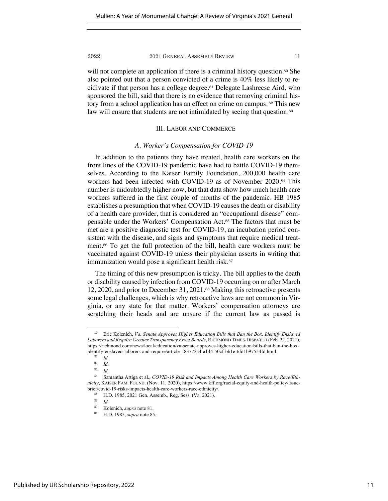will not complete an application if there is a criminal history question.<sup>80</sup> She also pointed out that a person convicted of a crime is 40% less likely to recidivate if that person has a college degree.<sup>81</sup> Delegate Lashrecse Aird, who sponsored the bill, said that there is no evidence that removing criminal history from a school application has an effect on crime on campus. <sup>82</sup> This new law will ensure that students are not intimidated by seeing that question.<sup>83</sup>

### III. LABOR AND COMMERCE

#### *A. Worker's Compensation for COVID-19*

In addition to the patients they have treated, health care workers on the front lines of the COVID-19 pandemic have had to battle COVID-19 themselves. According to the Kaiser Family Foundation, 200,000 health care workers had been infected with COVID-19 as of November 2020.<sup>84</sup> This number is undoubtedly higher now, but that data show how much health care workers suffered in the first couple of months of the pandemic. HB 1985 establishes a presumption that when COVID-19 causes the death or disability of a health care provider, that is considered an "occupational disease" compensable under the Workers' Compensation Act.<sup>85</sup> The factors that must be met are a positive diagnostic test for COVID-19, an incubation period consistent with the disease, and signs and symptoms that require medical treatment.<sup>86</sup> To get the full protection of the bill, health care workers must be vaccinated against COVID-19 unless their physician asserts in writing that immunization would pose a significant health risk.<sup>87</sup>

The timing of this new presumption is tricky. The bill applies to the death or disability caused by infection from COVID-19 occurring on or after March 12, 2020, and prior to December 31, 2021.<sup>88</sup> Making this retroactive presents some legal challenges, which is why retroactive laws are not common in Virginia, or any state for that matter. Workers' compensation attorneys are scratching their heads and are unsure if the current law as passed is

<sup>80</sup> Eric Kolenich, *Va. Senate Approves Higher Education Bills that Ban the Box, Identify Enslaved Laborers and Require Greater Transparency From Boards*, RICHMOND TIMES-DISPATCH (Feb. 22, 2021), https://richmond.com/news/local/education/va-senate-approves-higher-education-bills-that-ban-the-boxidentify-enslaved-laborers-and-require/article\_f83772a4-a144-50cf-bb1e-6fd1b97554fd.html.

 $rac{81}{82}$  *Id.* 

 $rac{82}{83}$  *Id.* 

 $\frac{83}{84}$  *Id.* 

Samantha Artiga et al., *COVID-19 Risk and Impacts Among Health Care Workers by Race/Ethnicity*, KAISER FAM. FOUND. (Nov. 11, 2020), https://www.kff.org/racial-equity-and-health-policy/issuebrief/covid-19-risks-impacts-health-care-workers-race-ethnicity/.

<sup>85</sup> H.D. 1985, 2021 Gen. Assemb., Reg. Sess. (Va. 2021).

 $rac{86}{87}$  *Id.* 

<sup>87</sup> Kolenich, *supra* note 81. 88 H.D. 1985, *supra* note 85.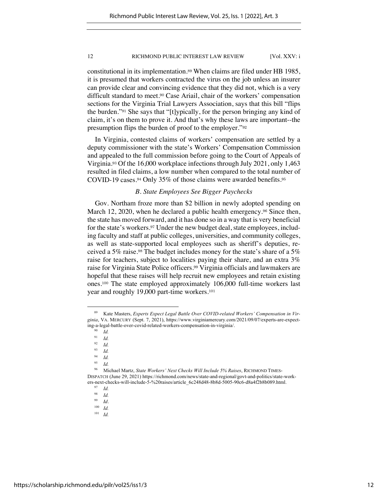constitutional in its implementation.<sup>89</sup> When claims are filed under HB 1985, it is presumed that workers contracted the virus on the job unless an insurer can provide clear and convincing evidence that they did not, which is a very difficult standard to meet.<sup>90</sup> Case Ariail, chair of the workers' compensation sections for the Virginia Trial Lawyers Association, says that this bill "flips the burden."<sup>91</sup> She says that "[t]ypically, for the person bringing any kind of claim, it's on them to prove it. And that's why these laws are important--the presumption flips the burden of proof to the employer."<sup>92</sup>

In Virginia, contested claims of workers' compensation are settled by a deputy commissioner with the state's Workers' Compensation Commission and appealed to the full commission before going to the Court of Appeals of Virginia.<sup>93</sup> Of the 16,000 workplace infections through July 2021, only 1,463 resulted in filed claims, a low number when compared to the total number of COVID-19 cases.<sup>94</sup> Only 35% of those claims were awarded benefits.<sup>95</sup>

### *B. State Employees See Bigger Paychecks*

Gov. Northam froze more than \$2 billion in newly adopted spending on March 12, 2020, when he declared a public health emergency.<sup>96</sup> Since then, the state has moved forward, and it has done so in a way that is very beneficial for the state's workers.<sup>97</sup> Under the new budget deal, state employees, including faculty and staff at public colleges, universities, and community colleges, as well as state-supported local employees such as sheriff's deputies, received a 5% raise.<sup>98</sup> The budget includes money for the state's share of a 5% raise for teachers, subject to localities paying their share, and an extra 3% raise for Virginia State Police officers.<sup>99</sup> Virginia officials and lawmakers are hopeful that these raises will help recruit new employees and retain existing ones.<sup>100</sup> The state employed approximately 106,000 full-time workers last year and roughly 19,000 part-time workers.<sup>101</sup>

 $\frac{92}{93}$  *Id.*  $\frac{93}{94}$  *Id.* 

<sup>89</sup> Kate Masters, *Experts Expect Legal Battle Over COVID-related Workers' Compensation in Virginia*, VA. MERCURY (Sept. 7, 2021), https://www.virginiamercury.com/2021/09/07/experts-are-expecting-a-legal-battle-over-covid-related-workers-compensation-in-virginia/.

 $\frac{90}{91}$  *Id.* 

 $\frac{91}{92}$  *Id.* 

 $\frac{94}{95}$  *Id.* 

 $\frac{95}{96}$  *Id.* 

<sup>96</sup> Michael Martz, *State Workers' Next Checks Will Include 5% Raises*, RICHMOND TIMES-DISPATCH (June 29, 2021) https://richmond.com/news/state-and-regional/govt-and-politics/state-workers-next-checks-will-include-5-%20raises/article\_6c248d48-8b8d-5005-90c6-d8a4f2b8b089.html.

 $\frac{97}{98}$  *Id.* 

 $\frac{98}{99}$  *Id.* 

 $\frac{99}{100}$  *Id.* 

 $\frac{100}{101}$  *Id.* 

<sup>101</sup> *Id.*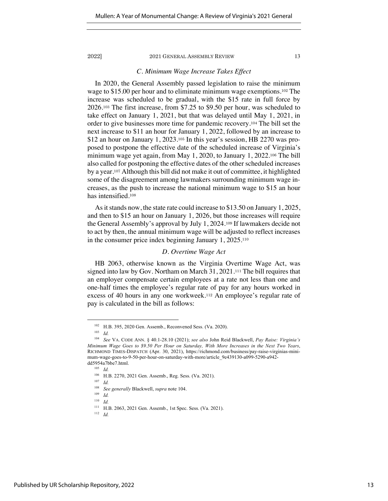#### *C. Minimum Wage Increase Takes Effect*

In 2020, the General Assembly passed legislation to raise the minimum wage to \$15.00 per hour and to eliminate minimum wage exemptions.<sup>102</sup> The increase was scheduled to be gradual, with the \$15 rate in full force by 2026.<sup>103</sup> The first increase, from \$7.25 to \$9.50 per hour, was scheduled to take effect on January 1, 2021, but that was delayed until May 1, 2021, in order to give businesses more time for pandemic recovery.<sup>104</sup> The bill set the next increase to \$11 an hour for January 1, 2022, followed by an increase to \$12 an hour on January 1, 2023.<sup>105</sup> In this year's session, HB 2270 was proposed to postpone the effective date of the scheduled increase of Virginia's minimum wage yet again, from May 1, 2020, to January 1, 2022.<sup>106</sup> The bill also called for postponing the effective dates of the other scheduled increases by a year.<sup>107</sup> Although this bill did not make it out of committee, it highlighted some of the disagreement among lawmakers surrounding minimum wage increases, as the push to increase the national minimum wage to \$15 an hour has intensified.<sup>108</sup>

As it stands now, the state rate could increase to \$13.50 on January 1, 2025, and then to \$15 an hour on January 1, 2026, but those increases will require the General Assembly's approval by July 1, 2024.<sup>109</sup> If lawmakers decide not to act by then, the annual minimum wage will be adjusted to reflect increases in the consumer price index beginning January 1, 2025.<sup>110</sup>

#### *D. Overtime Wage Act*

HB 2063, otherwise known as the Virginia Overtime Wage Act, was signed into law by Gov. Northam on March 31, 2021.<sup>111</sup> The bill requires that an employer compensate certain employees at a rate not less than one and one-half times the employee's regular rate of pay for any hours worked in excess of 40 hours in any one workweek.<sup>112</sup> An employee's regular rate of pay is calculated in the bill as follows:

<sup>102</sup> H.B. 395, 2020 Gen. Assemb., Reconvened Sess. (Va. 2020).

 $103$  *Id.* 

<sup>104</sup> *See* VA. CODE ANN. § 40.1-28.10 (2021); *see also* John Reid Blackwell, *Pay Raise: Virginia's Minimum Wage Goes to \$9.50 Per Hour on Saturday, With More Increases in the Next Two Years*, RICHMOND TIMES-DISPATCH (Apr. 30, 2021), https://richmond.com/business/pay-raise-virginias-minimum-wage-goes-to-9-50-per-hour-on-saturday-with-more/article\_9e439130-a099-5290-a942 dd5954a7bbe7.html.

 $^{105}\quad Id.$ 

 $^{106}$  H.B. 2270, 2021 Gen. Assemb., Reg. Sess. (Va. 2021).

 $\frac{107}{108}$  *Id.* 

<sup>108</sup> *See generally* Blackwell, *supra* note 104.

 $\frac{109}{110}$  *Id. Id.* 

<sup>111</sup> H.B. 2063, 2021 Gen. Assemb., 1st Spec. Sess. (Va. 2021).

<sup>112</sup> *Id.*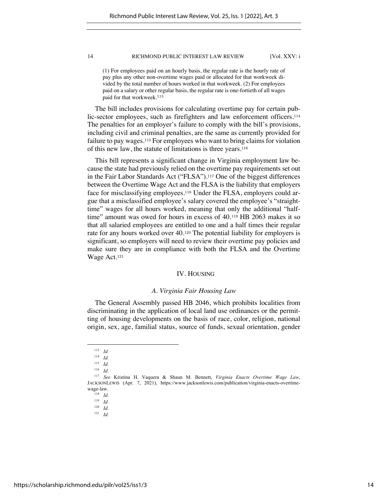(1) For employees paid on an hourly basis, the regular rate is the hourly rate of pay plus any other non-overtime wages paid or allocated for that workweek divided by the total number of hours worked in that workweek. (2) For employees paid on a salary or other regular basis, the regular rate is one-fortieth of all wages paid for that workweek.<sup>113</sup>

The bill includes provisions for calculating overtime pay for certain public-sector employees, such as firefighters and law enforcement officers.<sup>114</sup> The penalties for an employer's failure to comply with the bill's provisions, including civil and criminal penalties, are the same as currently provided for failure to pay wages.<sup>115</sup> For employees who want to bring claims for violation of this new law, the statute of limitations is three years.<sup>116</sup>

This bill represents a significant change in Virginia employment law because the state had previously relied on the overtime pay requirements set out in the Fair Labor Standards Act ("FLSA").<sup>117</sup> One of the biggest differences between the Overtime Wage Act and the FLSA is the liability that employers face for misclassifying employees.<sup>118</sup> Under the FLSA, employers could argue that a misclassified employee's salary covered the employee's "straighttime" wages for all hours worked, meaning that only the additional "halftime" amount was owed for hours in excess of 40.<sup>119</sup> HB 2063 makes it so that all salaried employees are entitled to one and a half times their regular rate for any hours worked over 40.<sup>120</sup> The potential liability for employers is significant, so employers will need to review their overtime pay policies and make sure they are in compliance with both the FLSA and the Overtime Wage Act.<sup>121</sup>

#### IV. HOUSING

#### *A. Virginia Fair Housing Law*

The General Assembly passed HB 2046, which prohibits localities from discriminating in the application of local land use ordinances or the permitting of housing developments on the basis of race, color, religion, national origin, sex, age, familial status, source of funds, sexual orientation, gender

<sup>113</sup> *Id.* 

 $\frac{114}{115}$  *Id.* 

*Id.* 

<sup>116</sup> *Id.*

<sup>117</sup> *See* Kristina H. Vaquera & Shaun M. Bennett, *Virginia Enacts Overtime Wage Law*, JACKSONLEWIS (Apr. 7, 2021), https://www.jacksonlewis.com/publication/virginia-enacts-overtimewage-law.

<sup>118</sup> *Id.* 

 $\frac{119}{120}$  *Id.* 

*Id.* 

<sup>121</sup> *Id.*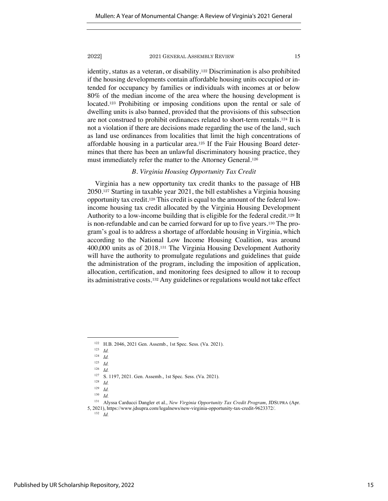identity, status as a veteran, or disability.<sup>122</sup> Discrimination is also prohibited if the housing developments contain affordable housing units occupied or intended for occupancy by families or individuals with incomes at or below 80% of the median income of the area where the housing development is located.<sup>123</sup> Prohibiting or imposing conditions upon the rental or sale of dwelling units is also banned, provided that the provisions of this subsection are not construed to prohibit ordinances related to short-term rentals.<sup>124</sup> It is not a violation if there are decisions made regarding the use of the land, such as land use ordinances from localities that limit the high concentrations of affordable housing in a particular area.<sup>125</sup> If the Fair Housing Board determines that there has been an unlawful discriminatory housing practice, they must immediately refer the matter to the Attorney General.<sup>126</sup>

### *B. Virginia Housing Opportunity Tax Credit*

Virginia has a new opportunity tax credit thanks to the passage of HB 2050.<sup>127</sup> Starting in taxable year 2021, the bill establishes a Virginia housing opportunity tax credit.<sup>128</sup> This credit is equal to the amount of the federal lowincome housing tax credit allocated by the Virginia Housing Development Authority to a low-income building that is eligible for the federal credit.<sup>129</sup> It is non-refundable and can be carried forward for up to five years.<sup>130</sup> The program's goal is to address a shortage of affordable housing in Virginia, which according to the National Low Income Housing Coalition, was around 400,000 units as of 2018.<sup>131</sup> The Virginia Housing Development Authority will have the authority to promulgate regulations and guidelines that guide the administration of the program, including the imposition of application, allocation, certification, and monitoring fees designed to allow it to recoup its administrative costs.<sup>132</sup> Any guidelines or regulations would not take effect

<sup>122</sup> H.B. 2046, 2021 Gen. Assemb., 1st Spec. Sess. (Va. 2021).

<sup>123</sup> *Id.* 

<sup>124</sup> *Id.*

 $\frac{125}{126}$  *Id.* 

<sup>126</sup> *Id.* 

<sup>127</sup> S. 1197, 2021. Gen. Assemb., 1st Spec. Sess. (Va. 2021).

 $\frac{128}{129}$  *Id.* 

*Id.* 

<sup>130</sup> *Id.* 

<sup>131</sup> Alyssa Carducci Dangler et al., *New Virginia Opportunity Tax Credit Program*, JDSUPRA (Apr.

<sup>5, 2021),</sup> https://www.jdsupra.com/legalnews/new-virginia-opportunity-tax-credit-9623372/.

 $132$  *Id.*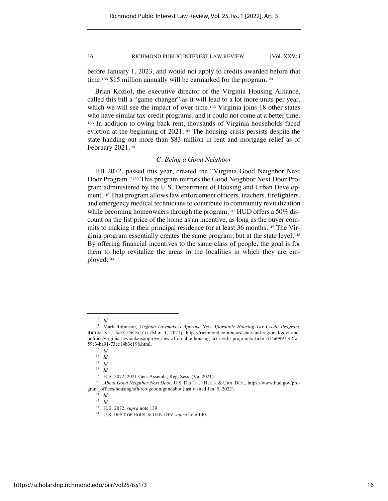before January 1, 2023, and would not apply to credits awarded before that time.<sup>133</sup> \$15 million annually will be earmarked for the program.<sup>134</sup>

Brian Koziol, the executive director of the Virginia Housing Alliance, called this bill a "game-changer" as it will lead to a lot more units per year, which we will see the impact of over time.<sup>135</sup> Virginia joins 18 other states who have similar tax-credit programs, and it could not come at a better time. <sup>136</sup> In addition to owing back rent, thousands of Virginia households faced eviction at the beginning of 2021.<sup>137</sup> The housing crisis persists despite the state handing out more than \$83 million in rent and mortgage relief as of February 2021.<sup>138</sup>

### *C. Being a Good Neighbor*

HB 2072, passed this year, created the "Virginia Good Neighbor Next Door Program."<sup>139</sup> This program mirrors the Good Neighbor Next Door Program administered by the U.S. Department of Housing and Urban Development.<sup>140</sup> That program allows law enforcement officers, teachers, firefighters, and emergency medical technicians to contribute to community revitalization while becoming homeowners through the program.<sup>141</sup> HUD offers a 50% discount on the list price of the home as an incentive, as long as the buyer commits to making it their principal residence for at least 36 months.<sup>142</sup> The Virginia program essentially creates the same program, but at the state level.<sup>143</sup> By offering financial incentives to the same class of people, the goal is for them to help revitalize the areas in the localities in which they are employed.<sup>144</sup>

<sup>133</sup> *Id.* 

<sup>134</sup> Mark Robinson, *Virginia Lawmakers Approve New Affordable Housing Tax Credit Program*, RICHMOND TIMES-DISPATCH (Mar. 1, 2021), https://richmond.com/news/state-and-regional/govt-andpolitics/virginia-lawmakersapprove-new-affordable-housing-tax-credit-program/article\_614a0997-42fc-59e3-ba91-73ec14b3e198.html.

<sup>135</sup> *Id.* 

<sup>136</sup> *Id.* 

<sup>137</sup> *Id.* 

<sup>138</sup> *Id.* 

<sup>139</sup> H.B. 2072, 2021 Gen. Assemb., Reg. Sess. (Va. 2021).

<sup>140</sup> *About Good Neighbor Next Door*, U.S. DEP'T OF HOUS. & URB. DEV., https://www.hud.gov/program\_offices/housing/sfh/reo/goodn/gnndabot (last visited Jan. 5, 2022).

 $\frac{141}{142}$  *Id.* 

<sup>142</sup> *Id.* 

<sup>&</sup>lt;sup>143</sup> H.B. 2072, *supra* note 139.<br><sup>144</sup> U.S. DEP'T OF HOUS. & URB. DEV, *supra* note 140.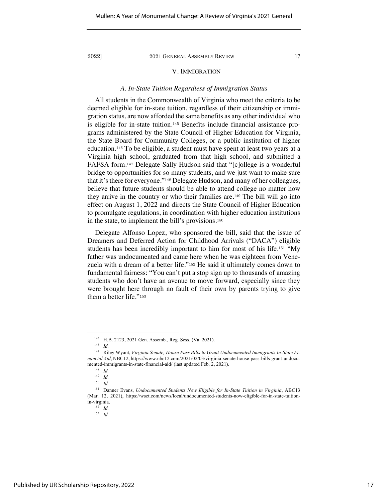### V. IMMIGRATION

#### *A. In-State Tuition Regardless of Immigration Status*

All students in the Commonwealth of Virginia who meet the criteria to be deemed eligible for in-state tuition, regardless of their citizenship or immigration status, are now afforded the same benefits as any other individual who is eligible for in-state tuition.<sup>145</sup> Benefits include financial assistance programs administered by the State Council of Higher Education for Virginia, the State Board for Community Colleges, or a public institution of higher education.<sup>146</sup> To be eligible, a student must have spent at least two years at a Virginia high school, graduated from that high school, and submitted a FAFSA form.<sup>147</sup> Delegate Sally Hudson said that "[c]ollege is a wonderful bridge to opportunities for so many students, and we just want to make sure that it's there for everyone."<sup>148</sup> Delegate Hudson, and many of her colleagues, believe that future students should be able to attend college no matter how they arrive in the country or who their families are.<sup>149</sup> The bill will go into effect on August 1, 2022 and directs the State Council of Higher Education to promulgate regulations, in coordination with higher education institutions in the state, to implement the bill's provisions.<sup>150</sup>

Delegate Alfonso Lopez, who sponsored the bill, said that the issue of Dreamers and Deferred Action for Childhood Arrivals ("DACA") eligible students has been incredibly important to him for most of his life.<sup>151</sup> "My father was undocumented and came here when he was eighteen from Venezuela with a dream of a better life."<sup>152</sup> He said it ultimately comes down to fundamental fairness: "You can't put a stop sign up to thousands of amazing students who don't have an avenue to move forward, especially since they were brought here through no fault of their own by parents trying to give them a better life."<sup>153</sup>

<sup>145</sup> H.B. 2123, 2021 Gen. Assemb., Reg. Sess. (Va. 2021).

<sup>146</sup> *Id.* 

<sup>147</sup> Riley Wyant, *Virginia Senate, House Pass Bills to Grant Undocumented Immigrants In-State Financial Aid*, NBC12, https://www.nbc12.com/2021/02/03/virginia-senate-house-pass-bills-grant-undocumented-immigrants-in-state-financial-aid/ (last updated Feb. 2, 2021).

<sup>148</sup> *Id.* <sup>149</sup> *Id.* 

<sup>150</sup> *Id.* 

<sup>151</sup> Danner Evans, *Undocumented Students Now Eligible for In-State Tuition in Virginia*, ABC13 (Mar. 12, 2021), https://wset.com/news/local/undocumented-students-now-eligible-for-in-state-tuitionin-virginia.

<sup>152</sup> *Id.*

 $153$  *Id.*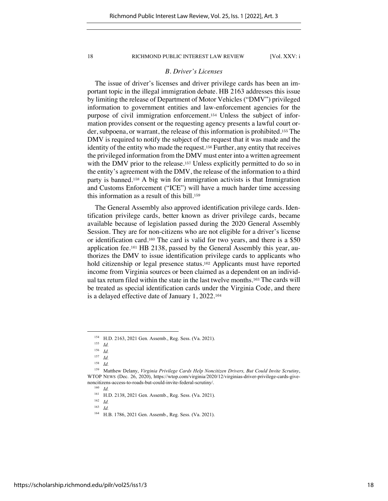#### *B. Driver's Licenses*

The issue of driver's licenses and driver privilege cards has been an important topic in the illegal immigration debate. HB 2163 addresses this issue by limiting the release of Department of Motor Vehicles ("DMV") privileged information to government entities and law-enforcement agencies for the purpose of civil immigration enforcement.<sup>154</sup> Unless the subject of information provides consent or the requesting agency presents a lawful court order, subpoena, or warrant, the release of this information is prohibited.<sup>155</sup> The DMV is required to notify the subject of the request that it was made and the identity of the entity who made the request.<sup>156</sup> Further, any entity that receives the privileged information from the DMV must enter into a written agreement with the DMV prior to the release.<sup>157</sup> Unless explicitly permitted to do so in the entity's agreement with the DMV, the release of the information to a third party is banned.<sup>158</sup> A big win for immigration activists is that Immigration and Customs Enforcement ("ICE") will have a much harder time accessing this information as a result of this bill.<sup>159</sup>

The General Assembly also approved identification privilege cards. Identification privilege cards, better known as driver privilege cards, became available because of legislation passed during the 2020 General Assembly Session. They are for non-citizens who are not eligible for a driver's license or identification card.<sup>160</sup> The card is valid for two years, and there is a \$50 application fee.<sup>161</sup> HB 2138, passed by the General Assembly this year, authorizes the DMV to issue identification privilege cards to applicants who hold citizenship or legal presence status.<sup>162</sup> Applicants must have reported income from Virginia sources or been claimed as a dependent on an individual tax return filed within the state in the last twelve months.<sup>163</sup> The cards will be treated as special identification cards under the Virginia Code, and there is a delayed effective date of January 1, 2022.<sup>164</sup>

<sup>&</sup>lt;sup>154</sup> H.D. 2163, 2021 Gen. Assemb., Reg. Sess. (Va. 2021).

 $\frac{155}{156}$  *Id.* 

 $Id$ 

 $\frac{157}{158}$  *Id.* 

<sup>158</sup> *Id.*

<sup>159</sup> Matthew Delany, *Virginia Privilege Cards Help Noncitizen Drivers, But Could Invite Scrutiny*, WTOP NEWS (Dec. 26, 2020), https://wtop.com/virginia/2020/12/virginias-driver-privilege-cards-givenoncitizens-access-to-roads-but-could-invite-federal-scrutiny/.

<sup>160</sup> *Id.* 

<sup>&</sup>lt;sup>161</sup> H.D. 2138, 2021 Gen. Assemb., Reg. Sess. (Va. 2021).

 $\frac{162}{163}$  *Id.* 

<sup>163</sup> *Id.* 

<sup>164</sup> H.B. 1786, 2021 Gen. Assemb., Reg. Sess. (Va. 2021).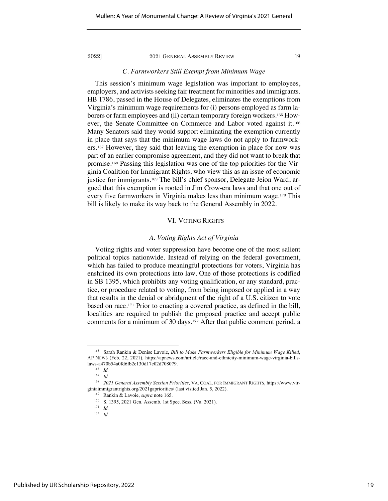#### *C. Farmworkers Still Exempt from Minimum Wage*

This session's minimum wage legislation was important to employees, employers, and activists seeking fair treatment for minorities and immigrants. HB 1786, passed in the House of Delegates, eliminates the exemptions from Virginia's minimum wage requirements for (i) persons employed as farm laborers or farm employees and (ii) certain temporary foreign workers.<sup>165</sup> However, the Senate Committee on Commerce and Labor voted against it.<sup>166</sup> Many Senators said they would support eliminating the exemption currently in place that says that the minimum wage laws do not apply to farmworkers.<sup>167</sup> However, they said that leaving the exemption in place for now was part of an earlier compromise agreement, and they did not want to break that promise.<sup>168</sup> Passing this legislation was one of the top priorities for the Virginia Coalition for Immigrant Rights, who view this as an issue of economic justice for immigrants.<sup>169</sup> The bill's chief sponsor, Delegate Jeion Ward, argued that this exemption is rooted in Jim Crow-era laws and that one out of every five farmworkers in Virginia makes less than minimum wage.<sup>170</sup> This bill is likely to make its way back to the General Assembly in 2022.

#### VI. VOTING RIGHTS

### *A. Voting Rights Act of Virginia*

Voting rights and voter suppression have become one of the most salient political topics nationwide. Instead of relying on the federal government, which has failed to produce meaningful protections for voters, Virginia has enshrined its own protections into law. One of those protections is codified in SB 1395, which prohibits any voting qualification, or any standard, practice, or procedure related to voting, from being imposed or applied in a way that results in the denial or abridgment of the right of a U.S. citizen to vote based on race.<sup>171</sup> Prior to enacting a covered practice, as defined in the bill, localities are required to publish the proposed practice and accept public comments for a minimum of 30 days.<sup>172</sup> After that public comment period, a

<sup>165</sup> Sarah Rankin & Denise Lavoie, *Bill to Make Farmworkers Eligible for Minimum Wage Killed*, AP NEWS (Feb. 22, 2021), https://apnews.com/article/race-and-ethnicity-minimum-wage-virginia-billslaws-a470b54a0fd6fb2c130d17c02d708079.

<sup>166</sup> *Id.* 

 $167$  *Id.* 

<sup>168</sup> *2021 General Assembly Session Priorities*, VA. COAL. FOR IMMIGRANT RIGHTS, https://www.virginiaimmigrantrights.org/2021gapriorities/ (last visited Jan. 5, 2022).

<sup>&</sup>lt;sup>169</sup> Rankin & Lavoie, *supra* note 165.<br><sup>170</sup> S. 1395, 2021 Gen. Assemb. 1st Spec. Sess. (Va. 2021).

<sup>171</sup> *Id.* 

 $172$  *Id.*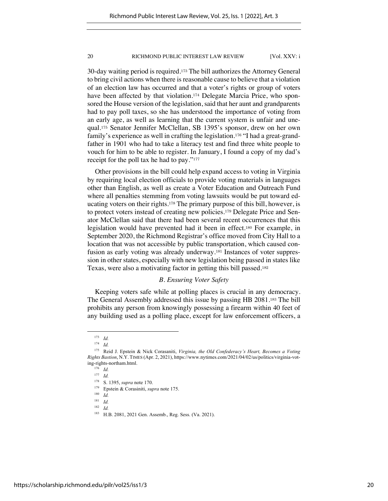30-day waiting period is required.<sup>173</sup> The bill authorizes the Attorney General to bring civil actions when there is reasonable cause to believe that a violation of an election law has occurred and that a voter's rights or group of voters have been affected by that violation.<sup>174</sup> Delegate Marcia Price, who sponsored the House version of the legislation, said that her aunt and grandparents had to pay poll taxes, so she has understood the importance of voting from an early age, as well as learning that the current system is unfair and unequal.<sup>175</sup> Senator Jennifer McClellan, SB 1395's sponsor, drew on her own family's experience as well in crafting the legislation.<sup>176</sup> "I had a great-grandfather in 1901 who had to take a literacy test and find three white people to vouch for him to be able to register. In January, I found a copy of my dad's receipt for the poll tax he had to pay."<sup>177</sup>

Other provisions in the bill could help expand access to voting in Virginia by requiring local election officials to provide voting materials in languages other than English, as well as create a Voter Education and Outreach Fund where all penalties stemming from voting lawsuits would be put toward educating voters on their rights.<sup>178</sup> The primary purpose of this bill, however, is to protect voters instead of creating new policies.<sup>179</sup> Delegate Price and Senator McClellan said that there had been several recent occurrences that this legislation would have prevented had it been in effect.<sup>180</sup> For example, in September 2020, the Richmond Registrar's office moved from City Hall to a location that was not accessible by public transportation, which caused confusion as early voting was already underway.<sup>181</sup> Instances of voter suppression in other states, especially with new legislation being passed in states like Texas, were also a motivating factor in getting this bill passed.<sup>182</sup>

### *B. Ensuring Voter Safety*

Keeping voters safe while at polling places is crucial in any democracy. The General Assembly addressed this issue by passing HB 2081.<sup>183</sup> The bill prohibits any person from knowingly possessing a firearm within 40 feet of any building used as a polling place, except for law enforcement officers, a

 $\frac{173}{174}$  *Id.* 

<sup>174</sup> *Id.*

<sup>175</sup> Reid J. Epstein & Nick Corasaniti, *Virginia, the Old Confederacy's Heart, Becomes a Voting Rights Bastion*, N.Y. TIMES (Apr. 2, 2021), https://www.nytimes.com/2021/04/02/us/politics/virginia-voting-rights-northam.html.

<sup>176</sup> *Id.*

 $\frac{177}{178}$  *Id.* 

<sup>178</sup> S. 1395, *supra* note 170.

<sup>179</sup> Epstein & Corasiniti, *supra* note 175.

 $\frac{180}{181}$  *Id.* 

 $\frac{181}{182}$  *Id.* 

<sup>182</sup> *Id.* 

<sup>183</sup> H.B. 2081, 2021 Gen. Assemb., Reg. Sess. (Va. 2021).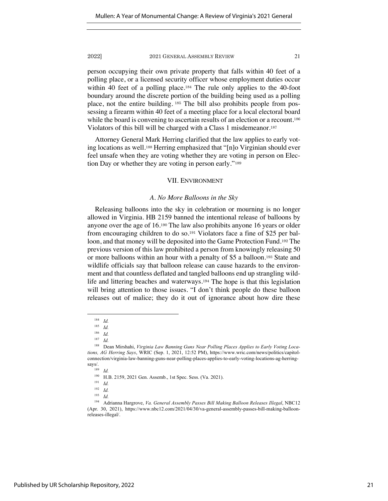person occupying their own private property that falls within 40 feet of a polling place, or a licensed security officer whose employment duties occur within 40 feet of a polling place.<sup>184</sup> The rule only applies to the 40-foot boundary around the discrete portion of the building being used as a polling place, not the entire building. <sup>185</sup> The bill also prohibits people from possessing a firearm within 40 feet of a meeting place for a local electoral board while the board is convening to ascertain results of an election or a recount.<sup>186</sup> Violators of this bill will be charged with a Class 1 misdemeanor.<sup>187</sup>

Attorney General Mark Herring clarified that the law applies to early voting locations as well.<sup>188</sup> Herring emphasized that "[n]o Virginian should ever feel unsafe when they are voting whether they are voting in person on Election Day or whether they are voting in person early."<sup>189</sup>

#### VII. ENVIRONMENT

#### *A. No More Balloons in the Sky*

Releasing balloons into the sky in celebration or mourning is no longer allowed in Virginia. HB 2159 banned the intentional release of balloons by anyone over the age of 16.<sup>190</sup> The law also prohibits anyone 16 years or older from encouraging children to do so.<sup>191</sup> Violators face a fine of \$25 per balloon, and that money will be deposited into the Game Protection Fund.<sup>192</sup> The previous version of this law prohibited a person from knowingly releasing 50 or more balloons within an hour with a penalty of \$5 a balloon.<sup>193</sup> State and wildlife officials say that balloon release can cause hazards to the environment and that countless deflated and tangled balloons end up strangling wildlife and littering beaches and waterways.<sup>194</sup> The hope is that this legislation will bring attention to those issues. "I don't think people do these balloon releases out of malice; they do it out of ignorance about how dire these

 $\frac{184}{185}$  *Id.* 

 $\frac{185}{186}$  *Id.* 

 $\frac{186}{187}$  *Id.* 

*Id.* 

<sup>188</sup> Dean Mirshahi, *Virginia Law Banning Guns Near Polling Places Applies to Early Voting Locations, AG Herring Says*, WRIC (Sep. 1, 2021, 12:52 PM), https://www.wric.com/news/politics/capitolconnection/virginia-law-banning-guns-near-polling-places-applies-to-early-voting-locations-ag-herringsays/.

<sup>189</sup> *Id.* 

<sup>190</sup> H.B. 2159, 2021 Gen. Assemb., 1st Spec. Sess. (Va. 2021).

<sup>191</sup> *Id.* 

<sup>192</sup> *Id.*

<sup>193</sup> *Id.* 

<sup>194</sup> Adrianna Hargrove, *Va. General Assembly Passes Bill Making Balloon Releases Illegal*, NBC12 (Apr. 30, 2021), https://www.nbc12.com/2021/04/30/va-general-assembly-passes-bill-making-balloonreleases-illegal/.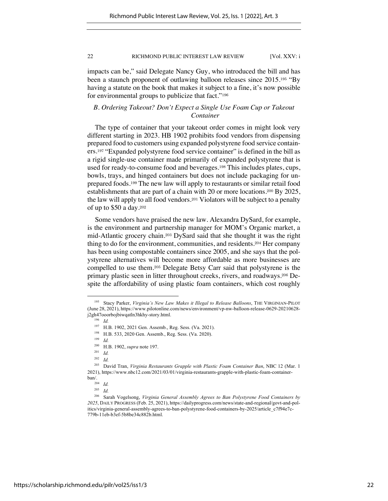impacts can be," said Delegate Nancy Guy, who introduced the bill and has been a staunch proponent of outlawing balloon releases since 2015.<sup>195</sup> "By having a statute on the book that makes it subject to a fine, it's now possible for environmental groups to publicize that fact."<sup>196</sup>

### *B. Ordering Takeout? Don't Expect a Single Use Foam Cup or Takeout Container*

The type of container that your takeout order comes in might look very different starting in 2023. HB 1902 prohibits food vendors from dispensing prepared food to customers using expanded polystyrene food service containers.<sup>197</sup> "Expanded polystyrene food service container" is defined in the bill as a rigid single-use container made primarily of expanded polystyrene that is used for ready-to-consume food and beverages.<sup>198</sup> This includes plates, cups, bowls, trays, and hinged containers but does not include packaging for unprepared foods.<sup>199</sup> The new law will apply to restaurants or similar retail food establishments that are part of a chain with 20 or more locations.<sup>200</sup> By 2025, the law will apply to all food vendors.<sup>201</sup> Violators will be subject to a penalty of up to \$50 a day.<sup>202</sup>

Some vendors have praised the new law. Alexandra DySard, for example, is the environment and partnership manager for MOM's Organic market, a mid-Atlantic grocery chain.<sup>203</sup> DySard said that she thought it was the right thing to do for the environment, communities, and residents.<sup>204</sup> Her company has been using compostable containers since 2005, and she says that the polystyrene alternatives will become more affordable as more businesses are compelled to use them.<sup>205</sup> Delegate Betsy Carr said that polystyrene is the primary plastic seen in litter throughout creeks, rivers, and roadways.<sup>206</sup> Despite the affordability of using plastic foam containers, which cost roughly

<sup>195</sup> Stacy Parker, *Virginia's New Law Makes it Illegal to Release Balloons*, THE VIRGINIAN-PILOT (June 28, 2021), https://www.pilotonline.com/news/environment/vp-nw-balloon-release-0629-20210628 j2gh47ooorbojbiwqatln3hkhy-story.html.

<sup>196</sup> *Id.* 

<sup>&</sup>lt;sup>197</sup> H.B. 1902, 2021 Gen. Assemb., Reg. Sess. (Va. 2021).<br><sup>198</sup> H.B. 533, 2020 Gen. Assemb., Beg. Sess. (Va. 2020).

<sup>198</sup> H.B. 533, 2020 Gen. Assemb., Reg. Sess. (Va. 2020). 199 *Id.*

<sup>200</sup> H.B. 1902, *supra* note 197. 201 *Id.* 

<sup>202</sup> *Id.* 

<sup>203</sup> David Tran, *Virginia Restaurants Grapple with Plastic Foam Container Ban*, NBC 12 (Mar. 1 2021), https://www.nbc12.com/2021/03/01/virginia-restaurants-grapple-with-plastic-foam-containerban/.

<sup>204</sup> *Id.* <sup>205</sup> *Id.* 

<sup>206</sup> Sarah Vogelsong, *Virginia General Assembly Agrees to Ban Polystyrene Food Containers by 2025*, DAILY PROGRESS (Feb. 25, 2021), https://dailyprogress.com/news/state-and-regional/govt-and-politics/virginia-general-assembly-agrees-to-ban-polystyrene-food-containers-by-2025/article\_c7f94e7c-779b-11eb-b3ef-5b8be34c882b.html.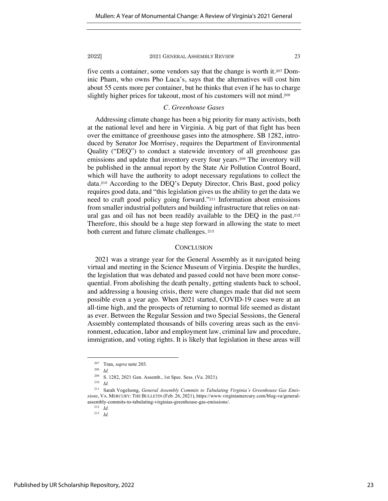five cents a container, some vendors say that the change is worth it.<sup>207</sup> Dominic Pham, who owns Pho Luca's, says that the alternatives will cost him about 55 cents more per container, but he thinks that even if he has to charge slightly higher prices for takeout, most of his customers will not mind.<sup>208</sup>

### *C. Greenhouse Gases*

Addressing climate change has been a big priority for many activists, both at the national level and here in Virginia. A big part of that fight has been over the emittance of greenhouse gases into the atmosphere. SB 1282, introduced by Senator Joe Morrisey, requires the Department of Environmental Quality ("DEQ") to conduct a statewide inventory of all greenhouse gas emissions and update that inventory every four years.<sup>209</sup> The inventory will be published in the annual report by the State Air Pollution Control Board, which will have the authority to adopt necessary regulations to collect the data.<sup>210</sup> According to the DEQ's Deputy Director, Chris Bast, good policy requires good data, and "this legislation gives us the ability to get the data we need to craft good policy going forward."<sup>211</sup> Information about emissions from smaller industrial polluters and building infrastructure that relies on natural gas and oil has not been readily available to the DEQ in the past.<sup>212</sup> Therefore, this should be a huge step forward in allowing the state to meet both current and future climate challenges. <sup>213</sup>

### **CONCLUSION**

2021 was a strange year for the General Assembly as it navigated being virtual and meeting in the Science Museum of Virginia. Despite the hurdles, the legislation that was debated and passed could not have been more consequential. From abolishing the death penalty, getting students back to school, and addressing a housing crisis, there were changes made that did not seem possible even a year ago. When 2021 started, COVID-19 cases were at an all-time high, and the prospects of returning to normal life seemed as distant as ever. Between the Regular Session and two Special Sessions, the General Assembly contemplated thousands of bills covering areas such as the environment, education, labor and employment law, criminal law and procedure, immigration, and voting rights. It is likely that legislation in these areas will

<sup>207</sup> Tran, *supra* note 203.

<sup>208</sup> *Id.*

<sup>209</sup> S. 1282, 2021 Gen. Assemb., 1st Spec. Sess. (Va. 2021).

<sup>210</sup> *Id.* 

<sup>211</sup> Sarah Vogelsong, *General Assembly Commits to Tabulating Virginia's Greenhouse Gas Emissions*, VA. MERCURY: THE BULLETIN (Feb. 26, 2021), https://www.virginiamercury.com/blog-va/generalassembly-commits-to-tabulating-virginias-greenhouse-gas-emissions/.

 $212$  *Id.* 

<sup>213</sup> *Id.*